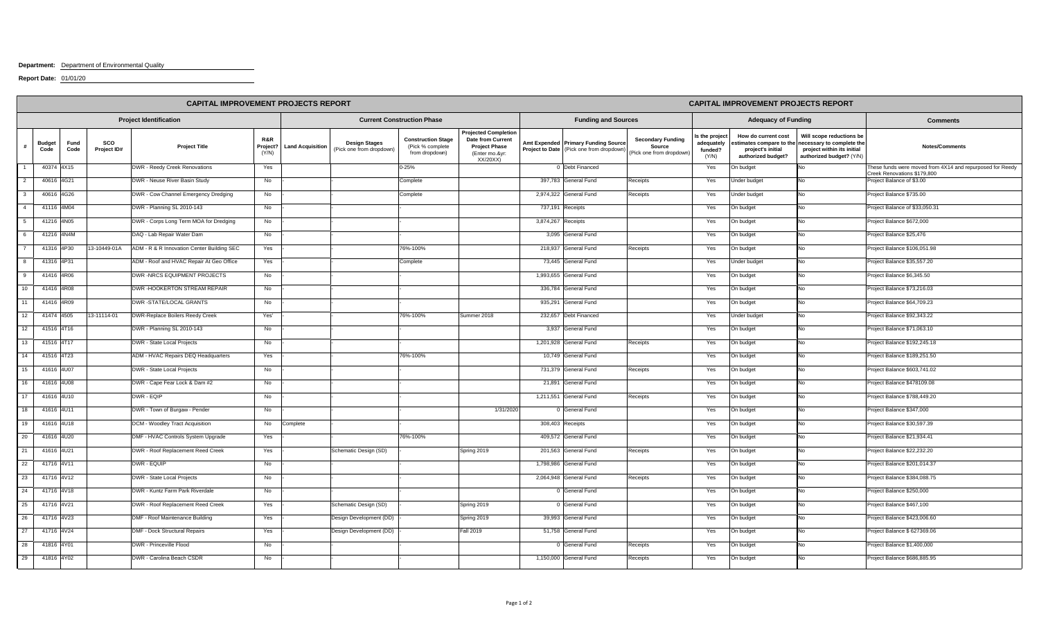## **Department:** Department of Environmental Quality

**Report Date:** 01/01/20

|    | <b>CAPITAL IMPROVEMENT PROJECTS REPORT</b> |              |                    |                                            |                          |                         |                                                  |                                                                 | <b>CAPITAL IMPROVEMENT PROJECTS REPORT</b>                                                             |           |                                                                                |                                                                |                                                 |                                                                                           |                                                                                                                 |                                                                                          |
|----|--------------------------------------------|--------------|--------------------|--------------------------------------------|--------------------------|-------------------------|--------------------------------------------------|-----------------------------------------------------------------|--------------------------------------------------------------------------------------------------------|-----------|--------------------------------------------------------------------------------|----------------------------------------------------------------|-------------------------------------------------|-------------------------------------------------------------------------------------------|-----------------------------------------------------------------------------------------------------------------|------------------------------------------------------------------------------------------|
|    | <b>Project Identification</b>              |              |                    |                                            |                          |                         | <b>Current Construction Phase</b>                |                                                                 |                                                                                                        |           | <b>Funding and Sources</b>                                                     |                                                                |                                                 | <b>Adequacy of Funding</b>                                                                |                                                                                                                 | <b>Comments</b>                                                                          |
|    | <b>Budget</b><br>Code                      | Fund<br>Code | sco<br>Project ID# | <b>Project Title</b>                       | R&R<br>Project?<br>(Y/N) | <b>Land Acquisition</b> | <b>Design Stages</b><br>(Pick one from dropdown) | <b>Construction Stage</b><br>(Pick % complete<br>from dropdown) | <b>Projected Completion</b><br>Date from Current<br><b>Project Phase</b><br>(Enter mo.&yr:<br>XX/20XX) |           | Amt Expended Primary Funding Source<br>Project to Date (Pick one from dropdown | <b>Secondary Funding</b><br>Source<br>(Pick one from dropdown) | s the project<br>adequately<br>funded?<br>(Y/N) | How do current cost<br>stimates compare to the<br>project's initial<br>authorized budget? | Will scope reductions be<br>necessary to complete the<br>project within its initial<br>authorized budget? (Y/N) | Notes/Comments                                                                           |
|    |                                            | 40374 4X15   |                    | DWR - Reedy Creek Renovations              | Yes                      |                         |                                                  | $0 - 25%$                                                       |                                                                                                        |           | 0 Debt Financed                                                                |                                                                | Yes                                             | On budget                                                                                 | No                                                                                                              | These funds were moved from 4X14 and repurposed for Reedy<br>Creek Renovations \$179,800 |
|    | 40616 4G21                                 |              |                    | DWR - Neuse River Basin Study              | No                       |                         |                                                  | Complete                                                        |                                                                                                        |           | 397,783 General Fund                                                           | Receipts                                                       | Yes                                             | Under budget                                                                              | No                                                                                                              | Project Balance of \$3.00                                                                |
|    |                                            | 40616 4G26   |                    | DWR - Cow Channel Emergency Dredging       | No                       |                         |                                                  | Complete                                                        |                                                                                                        | 2,974,322 | General Fund                                                                   | Receipts                                                       | Yes                                             | Jnder budget                                                                              | No                                                                                                              | Project Balance \$735.00                                                                 |
|    | 41116 4M04                                 |              |                    | DWR - Planning SL 2010-143                 | No                       |                         |                                                  |                                                                 |                                                                                                        |           | 737,191 Receipts                                                               |                                                                | Yes                                             | On budget                                                                                 | No                                                                                                              | Project Balance of \$33,050.31                                                           |
|    |                                            | 41216 4N05   |                    | DWR - Corps Long Term MOA for Dredging     | No                       |                         |                                                  |                                                                 |                                                                                                        | 3,874,267 | Receipts                                                                       |                                                                | Yes                                             | On budget                                                                                 | No                                                                                                              | Project Balance \$672,000                                                                |
|    |                                            | 41216 4N4M   |                    | DAQ - Lab Repair Water Dam                 | No                       |                         |                                                  |                                                                 |                                                                                                        |           | 3,095 General Fund                                                             |                                                                | Yes                                             | On budget                                                                                 | No                                                                                                              | Project Balance \$25,476                                                                 |
|    |                                            | 41316 4P30   | 13-10449-01A       | ADM - R & R Innovation Center Building SEC | Yes                      |                         |                                                  | 76%-100%                                                        |                                                                                                        | 218,937   | General Fund                                                                   | Receipts                                                       | Yes                                             | On budget                                                                                 | No                                                                                                              | Project Balance \$106,051.98                                                             |
|    | 41316 4P31                                 |              |                    | ADM - Roof and HVAC Repair At Geo Office   | Yes                      |                         |                                                  | Complete                                                        |                                                                                                        |           | 73,445 General Fund                                                            |                                                                | Yes                                             | Under budget                                                                              | No                                                                                                              | Project Balance \$35,557.20                                                              |
|    |                                            | 41416 4R06   |                    | DWR -NRCS EQUIPMENT PROJECTS               | No                       |                         |                                                  |                                                                 |                                                                                                        |           | 1,993,655 General Fund                                                         |                                                                | Yes                                             | On budget                                                                                 | No                                                                                                              | Project Balance \$6,345.50                                                               |
|    |                                            | 41416 4R08   |                    | DWR -HOOKERTON STREAM REPAIR               | No                       |                         |                                                  |                                                                 |                                                                                                        | 336,784   | General Fund                                                                   |                                                                | Yes                                             | On budget                                                                                 | No                                                                                                              | Project Balance \$73,216.03                                                              |
|    |                                            | 41416 4R09   |                    | DWR -STATE/LOCAL GRANTS                    | No                       |                         |                                                  |                                                                 |                                                                                                        | 935,291   | General Fund                                                                   |                                                                | Yes                                             | On budget                                                                                 | No                                                                                                              | Project Balance \$64,709.23                                                              |
| 12 | 41474 4505                                 |              | 13-11114-01        | DWR-Replace Boilers Reedy Creek            | Yes'                     |                         |                                                  | 76%-100%                                                        | Summer 2018                                                                                            | 232,657   | Debt Financed                                                                  |                                                                | Yes                                             | Under budget                                                                              | No                                                                                                              | Project Balance \$92,343.22                                                              |
| 12 | 41516 4T16                                 |              |                    | DWR - Planning SL 2010-143                 | No                       |                         |                                                  |                                                                 |                                                                                                        | 3.937     | General Fund                                                                   |                                                                | Yes                                             | On budget                                                                                 | No                                                                                                              | Project Balance \$71,063.10                                                              |
| 13 | 41516 4T17                                 |              |                    | DWR - State Local Projects                 | No                       |                         |                                                  |                                                                 |                                                                                                        |           | 1,201,928 General Fund                                                         | Receipts                                                       | Yes                                             | On budget                                                                                 | No                                                                                                              | Project Balance \$192,245.18                                                             |
| 14 | 41516 4T23                                 |              |                    | ADM - HVAC Repairs DEQ Headquarters        | Yes                      |                         |                                                  | 76%-100%                                                        |                                                                                                        |           | 10,749 General Fund                                                            |                                                                | Yes                                             | On budget                                                                                 | No                                                                                                              | Project Balance \$189,251.50                                                             |
| 15 |                                            | 41616 4U07   |                    | DWR - State Local Projects                 | No                       |                         |                                                  |                                                                 |                                                                                                        |           | 731.379 General Fund                                                           | Receipts                                                       | Yes                                             | On budget                                                                                 | No                                                                                                              | Project Balance \$603,741.02                                                             |
| 16 | 41616 4U08                                 |              |                    | DWR - Cape Fear Lock & Dam #2              | No                       |                         |                                                  |                                                                 |                                                                                                        |           | 21,891 General Fund                                                            |                                                                | Yes                                             | On budget                                                                                 | No                                                                                                              | Project Balance \$478109.08                                                              |
|    |                                            | 41616 4U10   |                    | DWR - EQIP                                 | No                       |                         |                                                  |                                                                 |                                                                                                        |           | 1,211,551 General Fund                                                         | Receipts                                                       | Yes                                             | On budget                                                                                 | No                                                                                                              | Project Balance \$788,449.20                                                             |
| 18 | 41616 4U11                                 |              |                    | DWR - Town of Burgaw - Pender              | No                       |                         |                                                  |                                                                 | 1/31/2020                                                                                              |           | 0 General Fund                                                                 |                                                                | Yes                                             | On budget                                                                                 | No                                                                                                              | Project Balance \$347,000                                                                |
|    |                                            | 41616 4U18   |                    | DCM - Woodley Tract Acquisition            | No                       | Complete                |                                                  |                                                                 |                                                                                                        |           | 308,403 Receipts                                                               |                                                                | Yes                                             | On budget                                                                                 | No                                                                                                              | Project Balance \$30,597.39                                                              |
| 20 | 41616 4U20                                 |              |                    | DMF - HVAC Controls System Upgrade         | Yes                      |                         |                                                  | 76%-100%                                                        |                                                                                                        |           | 409,572 General Fund                                                           |                                                                | Yes                                             | On budget                                                                                 | No                                                                                                              | Project Balance \$21,934.41                                                              |
| 21 | 41616 4U21                                 |              |                    | DWR - Roof Replacement Reed Creek          | Yes                      |                         | Schematic Design (SD)                            |                                                                 | Spring 2019                                                                                            |           | 201,563 General Fund                                                           | Receipts                                                       | Yes                                             | On budget                                                                                 | No                                                                                                              | Project Balance \$22,232.20                                                              |
| 22 |                                            | 41716 4V11   |                    | DWR - EQUIP                                | No                       |                         |                                                  |                                                                 |                                                                                                        | 1,798,986 | General Fund                                                                   |                                                                | Yes                                             | On budget                                                                                 | No                                                                                                              | Project Balance \$201,014.37                                                             |
| 23 | 41716 4V12                                 |              |                    | DWR - State Local Projects                 | No                       |                         |                                                  |                                                                 |                                                                                                        |           | 2,064,948 General Fund                                                         | Receipts                                                       | Yes                                             | On budget                                                                                 | No                                                                                                              | Project Balance \$384,088.75                                                             |
| 24 | 41716 4V18                                 |              |                    | DWR - Kuntz Farm Park Riverdale            | No                       |                         |                                                  |                                                                 |                                                                                                        |           | 0 General Fund                                                                 |                                                                | Yes                                             | On budget                                                                                 | No                                                                                                              | Project Balance \$250,000                                                                |
| 25 | 41716 4V21                                 |              |                    | DWR - Roof Replacement Reed Creek          | Yes                      |                         | Schematic Design (SD)                            |                                                                 | Spring 2019                                                                                            |           | 0 General Fund                                                                 |                                                                | Yes                                             | On budget                                                                                 | No                                                                                                              | Project Balance \$467,100                                                                |
| 26 | 41716 4V23                                 |              |                    | DMF - Roof Maintenance Building            | Yes                      |                         | Design Development (DD)                          |                                                                 | Spring 2019                                                                                            |           | 39,993 General Fund                                                            |                                                                | Yes                                             | On budget                                                                                 | No                                                                                                              | Project Balance \$423,006.60                                                             |
| 27 | 41716 4V24                                 |              |                    | DMF - Dock Structural Repairs              | Yes                      |                         | Design Development (DD)                          |                                                                 | <b>Fall 2019</b>                                                                                       |           | 51,758 General Fund                                                            |                                                                | Yes                                             | On budget                                                                                 | No                                                                                                              | Project Balance \$627369.06                                                              |
| 28 | 41816 4Y01                                 |              |                    | DWR - Princeville Flood                    | No                       |                         |                                                  |                                                                 |                                                                                                        |           | 0 General Fund                                                                 | Receipts                                                       | Yes                                             | On budget                                                                                 | No                                                                                                              | Project Balance \$1,400,000                                                              |
| 29 | 41816 4Y02                                 |              |                    | DWR - Carolina Beach CSDR                  | No                       |                         |                                                  |                                                                 |                                                                                                        |           | 1,150,000 General Fund                                                         | Receipts                                                       | Yes                                             | On budget                                                                                 | No                                                                                                              | Project Balance \$686,885.95                                                             |